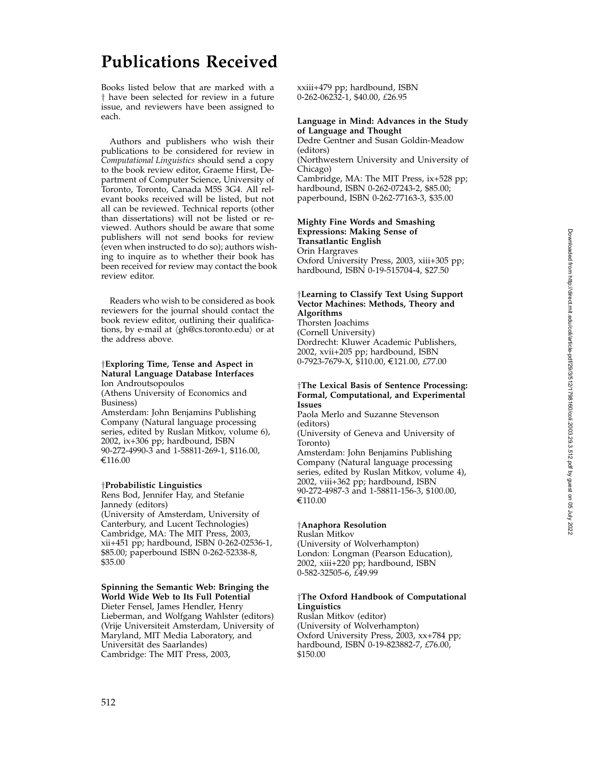# **Publications Received**

Books listed below that are marked with a † have been selected for review in a future issue, and reviewers have been assigned to each.

Authors and publishers who wish their publications to be considered for review in *Computational Linguistics* should send a copy to the book review editor, Graeme Hirst, Department of Computer Science, University of Toronto, Toronto, Canada M5S 3G4. All relevant books received will be listed, but not all can be reviewed. Technical reports (other than dissertations) will not be listed or reviewed. Authors should be aware that some publishers will not send books for review (even when instructed to do so); authors wishing to inquire as to whether their book has been received for review may contact the book review editor.

Readers who wish to be considered as book reviewers for the journal should contact the book review editor, outlining their qualifications, by e-mail at  $\langle$ gh@cs.toronto.edu $\rangle$  or at the address above.

#### †**Exploring Time, Tense and Aspect in Natural Language Database Interfaces** Ion Androutsopoulos

(Athens University of Economics and Business)

Amsterdam: John Benjamins Publishing Company (Natural language processing series, edited by Ruslan Mitkov, volume 6), 2002, ix+306 pp; hardbound, ISBN 90-272-4990-3 and 1-58811-269-1, \$116.00,<br>€116.00

#### †**Probabilistic Linguistics**

Rens Bod, Jennifer Hay, and Stefanie Jannedy (editors) (University of Amsterdam, University of Canterbury, and Lucent Technologies) Cambridge, MA: The MIT Press, 2003, xii+451 pp; hardbound, ISBN 0-262-02536-1, \$85.00; paperbound ISBN 0-262-52338-8, \$35.00

### **Spinning the Semantic Web: Bringing the World Wide Web to Its Full Potential**

Dieter Fensel, James Hendler, Henry Lieberman, and Wolfgang Wahlster (editors) (Vrije Universiteit Amsterdam, University of Maryland, MIT Media Laboratory, and Universität des Saarlandes) Cambridge: The MIT Press, 2003,

xxiii+479 pp; hardbound, ISBN 0-262-06232-1, \$40.00, *£*26.95

## **Language in Mind: Advances in the Study of Language and Thought**

Dedre Gentner and Susan Goldin-Meadow (editors) (Northwestern University and University of Chicago)

Cambridge, MA: The MIT Press, ix+528 pp; hardbound, ISBN 0-262-07243-2, \$85.00; paperbound, ISBN 0-262-77163-3, \$35.00

#### **Mighty Fine Words and Smashing Expressions: Making Sense of Transatlantic English**

Orin Hargraves

Oxford University Press, 2003, xiii+305 pp; hardbound, ISBN 0-19-515704-4, \$27.50

## †**Learning to Classify Text Using Support Vector Machines: Methods, Theory and Algorithms** Thorsten Joachims

(Cornell University) Dordrecht: Kluwer Academic Publishers, 2002, xvii+205 pp; hardbound, ISBN 0-7923-7679-X, \$110.00, €121.00*, £*77.00

## †**The Lexical Basis of Sentence Processing: Formal, Computational, and Experimental Issues**

Paola Merlo and Suzanne Stevenson (editors) (University of Geneva and University of Toronto) Amsterdam: John Benjamins Publishing Company (Natural language processing series, edited by Ruslan Mitkov, volume 4), 2002, viii+362 pp; hardbound, ISBN 90-272-4987-3 and 1-58811-156-3, \$100.00, €110.00

#### †**Anaphora Resolution**

Ruslan Mitkov

(University of Wolverhampton) London: Longman (Pearson Education), 2002, xiii+220 pp; hardbound, ISBN 0-582-32505-6, *£*49.99

## †**The Oxford Handbook of Computational Linguistics**

Ruslan Mitkov (editor) (University of Wolverhampton) Oxford University Press, 2003, xx+784 pp; hardbound, ISBN 0-19-823882-7, *£*76.00, \$150.00